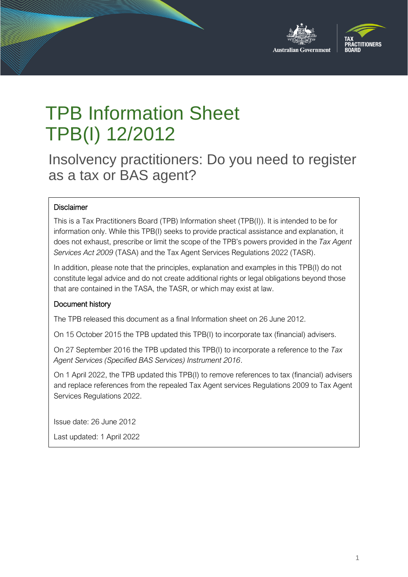



# TPB Information Sheet TPB(I) 12/2012

Insolvency practitioners: Do you need to register as a tax or BAS agent?

#### Disclaimer

This is a Tax Practitioners Board (TPB) Information sheet (TPB(I)). It is intended to be for information only. While this TPB(I) seeks to provide practical assistance and explanation, it does not exhaust, prescribe or limit the scope of the TPB's powers provided in the *Tax Agent Services Act 2009* (TASA) and the Tax Agent Services Regulations 2022 (TASR).

In addition, please note that the principles, explanation and examples in this TPB(I) do not constitute legal advice and do not create additional rights or legal obligations beyond those that are contained in the TASA, the TASR, or which may exist at law.

### Document history

The TPB released this document as a final Information sheet on 26 June 2012.

On 15 October 2015 the TPB updated this TPB(I) to incorporate tax (financial) advisers.

On 27 September 2016 the TPB updated this TPB(I) to incorporate a reference to the *Tax Agent Services (Specified BAS Services) Instrument 2016*.

On 1 April 2022, the TPB updated this TPB(I) to remove references to tax (financial) advisers and replace references from the repealed Tax Agent services Regulations 2009 to Tax Agent Services Regulations 2022.

Issue date: 26 June 2012

Last updated: 1 April 2022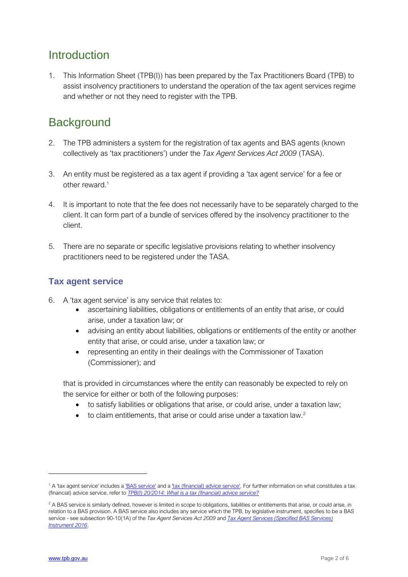# **Introduction**

1. This Information Sheet (TPB(I)) has been prepared by the Tax Practitioners Board (TPB) to assist insolvency practitioners to understand the operation of the tax agent services regime and whether or not they need to register with the TPB.

# **Background**

- 2. The TPB administers a system for the registration of tax agents and BAS agents (known collectively as 'tax practitioners') under the *Tax Agent Services Act 2009* (TASA).
- 3. An entity must be registered as a tax agent if providing a 'tax agent service' for a fee or other reward.<sup>1</sup>
- 4. It is important to note that the fee does not necessarily have to be separately charged to the client. It can form part of a bundle of services offered by the insolvency practitioner to the client.
- 5. There are no separate or specific legislative provisions relating to whether insolvency practitioners need to be registered under the TASA.

## **Tax agent service**

- 6. A 'tax agent service' is any service that relates to:
	- ascertaining liabilities, obligations or entitlements of an entity that arise, or could arise, under a taxation law; or
	- advising an entity about liabilities, obligations or entitlements of the entity or another entity that arise, or could arise, under a taxation law; or
	- representing an entity in their dealings with the Commissioner of Taxation (Commissioner); and

that is provided in circumstances where the entity can reasonably be expected to rely on the service for either or both of the following purposes:

- to satisfy liabilities or obligations that arise, or could arise, under a taxation law;
- to claim entitlements, that arise or could arise under a taxation law.<sup>2</sup>

<sup>&</sup>lt;sup>1</sup> A 'tax agent service' includes a ['BAS service'](https://www.tpb.gov.au/bas-services) and a ['tax \(financial\) advice service'.](https://www.tpb.gov.au/tax-financial-advisers) For further information on what constitutes a tax (financial) advice service, refer to *[TPB\(I\) 20/2014: What is a tax \(financial\) advice service?](https://www.tpb.gov.au/what-tax-financial-advice-service-information-sheet-tpb-i-202014)*

<sup>&</sup>lt;sup>2</sup> A BAS service is similarly defined, however is limited in scope to obligations, liabilities or entitlements that arise, or could arise, in relation to a BAS provision. A BAS service also includes any service which the TPB, by legislative instrument, specifies to be a BAS service - see subsection 90-10(1A) of the *Tax Agent Services Act 2009* and *[Tax Agent Services \(Specified BAS Services\)](https://www.legislation.gov.au/Details/F2016L00967/)  [Instrument 2016](https://www.legislation.gov.au/Details/F2016L00967/)*.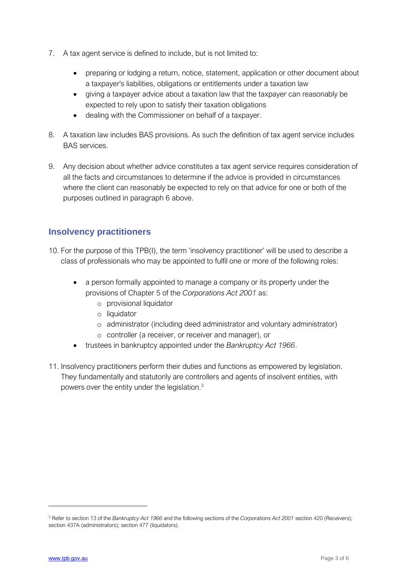- 7. A tax agent service is defined to include, but is not limited to:
	- preparing or lodging a return, notice, statement, application or other document about a taxpayer's liabilities, obligations or entitlements under a taxation law
	- giving a taxpayer advice about a taxation law that the taxpayer can reasonably be expected to rely upon to satisfy their taxation obligations
	- dealing with the Commissioner on behalf of a taxpayer.
- 8. A taxation law includes BAS provisions. As such the definition of tax agent service includes BAS services.
- 9. Any decision about whether advice constitutes a tax agent service requires consideration of all the facts and circumstances to determine if the advice is provided in circumstances where the client can reasonably be expected to rely on that advice for one or both of the purposes outlined in paragraph 6 above.

### **Insolvency practitioners**

- 10. For the purpose of this TPB(I), the term 'insolvency practitioner' will be used to describe a class of professionals who may be appointed to fulfil one or more of the following roles:
	- a person formally appointed to manage a company or its property under the provisions of Chapter 5 of the *Corporations Act 2001* as:
		- o provisional liquidator
		- o liquidator
		- o administrator (including deed administrator and voluntary administrator)
		- o controller (a receiver, or receiver and manager), or
	- trustees in bankruptcy appointed under the *Bankruptcy Act 1966*.
- 11. Insolvency practitioners perform their duties and functions as empowered by legislation. They fundamentally and statutorily are controllers and agents of insolvent entities, with powers over the entity under the legislation.<sup>3</sup>

<sup>3</sup> Refer to section 13 of the *Bankruptcy Act 1966* and the following sections of the *Corporations Act 2001* section 420 (Receivers); section 437A (administrators); section 477 (liquidators).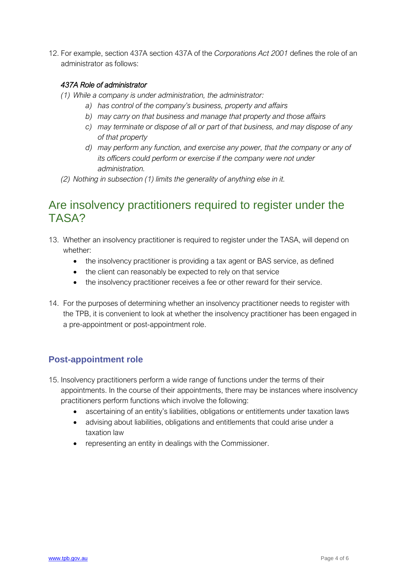12. For example, section 437A section 437A of the *Corporations Act 2001* defines the role of an administrator as follows:

#### *437A Role of administrator*

- *(1) While a company is under administration, the administrator:*
	- *a) has control of the company's business, property and affairs*
	- *b) may carry on that business and manage that property and those affairs*
	- *c) may terminate or dispose of all or part of that business, and may dispose of any of that property*
	- *d) may perform any function, and exercise any power, that the company or any of its officers could perform or exercise if the company were not under administration.*
- *(2) Nothing in subsection (1) limits the generality of anything else in it.*

# Are insolvency practitioners required to register under the TASA?

- 13. Whether an insolvency practitioner is required to register under the TASA, will depend on whether:
	- the insolvency practitioner is providing a tax agent or BAS service, as defined
	- the client can reasonably be expected to rely on that service
	- the insolvency practitioner receives a fee or other reward for their service.
- 14. For the purposes of determining whether an insolvency practitioner needs to register with the TPB, it is convenient to look at whether the insolvency practitioner has been engaged in a pre-appointment or post-appointment role.

## **Post-appointment role**

- 15. Insolvency practitioners perform a wide range of functions under the terms of their appointments. In the course of their appointments, there may be instances where insolvency practitioners perform functions which involve the following:
	- ascertaining of an entity's liabilities, obligations or entitlements under taxation laws
	- advising about liabilities, obligations and entitlements that could arise under a taxation law
	- representing an entity in dealings with the Commissioner.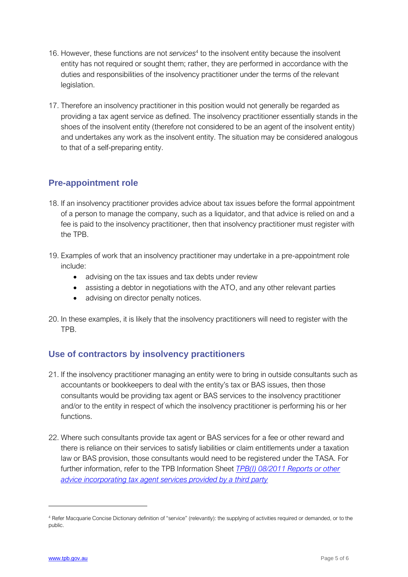- 16. However, these functions are not *services*<sup>4</sup> to the insolvent entity because the insolvent entity has not required or sought them; rather, they are performed in accordance with the duties and responsibilities of the insolvency practitioner under the terms of the relevant legislation.
- 17. Therefore an insolvency practitioner in this position would not generally be regarded as providing a tax agent service as defined. The insolvency practitioner essentially stands in the shoes of the insolvent entity (therefore not considered to be an agent of the insolvent entity) and undertakes any work as the insolvent entity. The situation may be considered analogous to that of a self-preparing entity.

# **Pre-appointment role**

- 18. If an insolvency practitioner provides advice about tax issues before the formal appointment of a person to manage the company, such as a liquidator, and that advice is relied on and a fee is paid to the insolvency practitioner, then that insolvency practitioner must register with the TPB.
- 19. Examples of work that an insolvency practitioner may undertake in a pre-appointment role include:
	- advising on the tax issues and tax debts under review
	- assisting a debtor in negotiations with the ATO, and any other relevant parties
	- advising on director penalty notices.
- 20. In these examples, it is likely that the insolvency practitioners will need to register with the TPB.

## **Use of contractors by insolvency practitioners**

- 21. If the insolvency practitioner managing an entity were to bring in outside consultants such as accountants or bookkeepers to deal with the entity's tax or BAS issues, then those consultants would be providing tax agent or BAS services to the insolvency practitioner and/or to the entity in respect of which the insolvency practitioner is performing his or her functions.
- 22. Where such consultants provide tax agent or BAS services for a fee or other reward and there is reliance on their services to satisfy liabilities or claim entitlements under a taxation law or BAS provision, those consultants would need to be registered under the TASA. For further information, refer to the TPB Information Sheet *[TPB\(I\) 08/2011 Reports or other](https://www.tpb.gov.au/reports-or-other-advice-incorporating-tax-agent-services-provided-third-party-tpb-information-sheet)  [advice incorporating tax agent services provided by a third party](https://www.tpb.gov.au/reports-or-other-advice-incorporating-tax-agent-services-provided-third-party-tpb-information-sheet)*

<sup>4</sup> Refer Macquarie Concise Dictionary definition of "service" (relevantly): the supplying of activities required or demanded, or to the public.